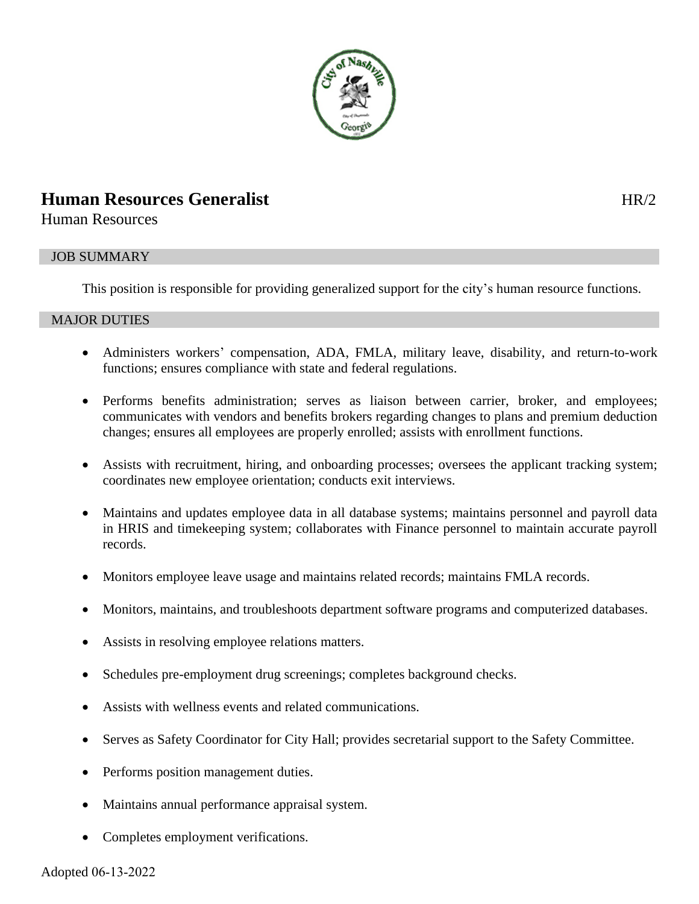

# **Human Resources Generalist HR/2**

Human Resources

# JOB SUMMARY

This position is responsible for providing generalized support for the city's human resource functions.

# MAJOR DUTIES

- Administers workers' compensation, ADA, FMLA, military leave, disability, and return-to-work functions; ensures compliance with state and federal regulations.
- Performs benefits administration; serves as liaison between carrier, broker, and employees; communicates with vendors and benefits brokers regarding changes to plans and premium deduction changes; ensures all employees are properly enrolled; assists with enrollment functions.
- Assists with recruitment, hiring, and onboarding processes; oversees the applicant tracking system; coordinates new employee orientation; conducts exit interviews.
- Maintains and updates employee data in all database systems; maintains personnel and payroll data in HRIS and timekeeping system; collaborates with Finance personnel to maintain accurate payroll records.
- Monitors employee leave usage and maintains related records; maintains FMLA records.
- Monitors, maintains, and troubleshoots department software programs and computerized databases.
- Assists in resolving employee relations matters.
- Schedules pre-employment drug screenings; completes background checks.
- Assists with wellness events and related communications.
- Serves as Safety Coordinator for City Hall; provides secretarial support to the Safety Committee.
- Performs position management duties.
- Maintains annual performance appraisal system.
- Completes employment verifications.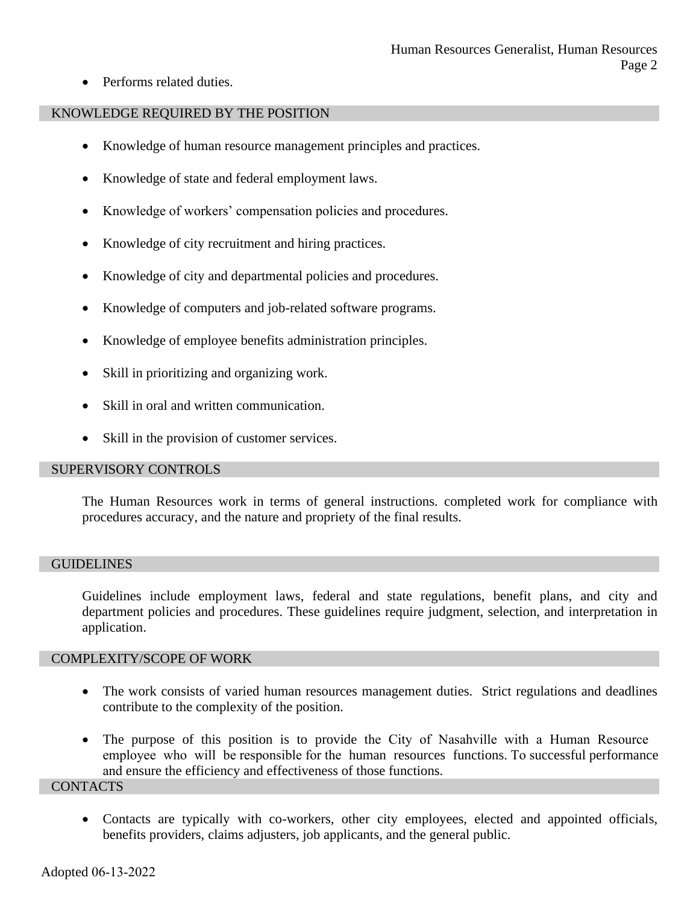• Performs related duties.

## KNOWLEDGE REQUIRED BY THE POSITION

- Knowledge of human resource management principles and practices.
- Knowledge of state and federal employment laws.
- Knowledge of workers' compensation policies and procedures.
- Knowledge of city recruitment and hiring practices.
- Knowledge of city and departmental policies and procedures.
- Knowledge of computers and job-related software programs.
- Knowledge of employee benefits administration principles.
- Skill in prioritizing and organizing work.
- Skill in oral and written communication.
- Skill in the provision of customer services.

## SUPERVISORY CONTROLS

The Human Resources work in terms of general instructions. completed work for compliance with procedures accuracy, and the nature and propriety of the final results.

#### **GUIDELINES**

Guidelines include employment laws, federal and state regulations, benefit plans, and city and department policies and procedures. These guidelines require judgment, selection, and interpretation in application.

## COMPLEXITY/SCOPE OF WORK

- The work consists of varied human resources management duties. Strict regulations and deadlines contribute to the complexity of the position.
- The purpose of this position is to provide the City of Nasahville with a Human Resource employee who will be responsible for the human resources functions. To successful performance and ensure the efficiency and effectiveness of those functions.

#### **CONTACTS**

• Contacts are typically with co-workers, other city employees, elected and appointed officials, benefits providers, claims adjusters, job applicants, and the general public.